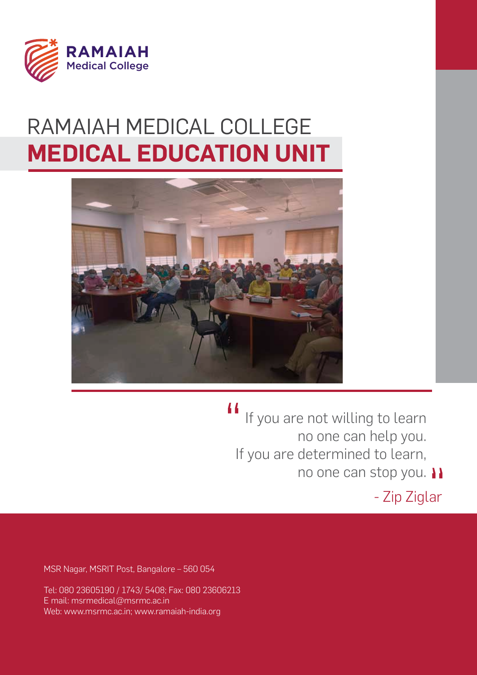

# **MEDICAL EDUCATION UNIT** RAMAIAH MEDICAL COLLEGE



 $\overline{11}$ If you are not willing to learn no one can help you. If you are determined to learn, no one can stop you. 11

- Zip Ziglar

MSR Nagar, MSRIT Post, Bangalore – 560 054

Tel: 080 23605190 / 1743/ 5408; Fax: 080 23606213 E mail: msrmedical@msrmc.ac.in Web: www.msrmc.ac.in; www.ramaiah-india.org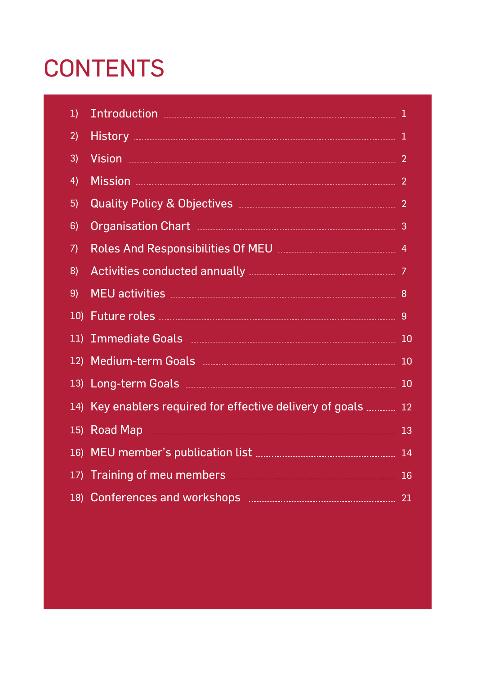# **CONTENTS**

| 1) | Introduction <b>Executive Contract of the Contract of Tensor</b>                                                                                                                                                                     | $\mathbf 1$    |
|----|--------------------------------------------------------------------------------------------------------------------------------------------------------------------------------------------------------------------------------------|----------------|
| 2) | History 1                                                                                                                                                                                                                            |                |
| 3) | <u>Vision 2008 - 2009 - 2009 - 2009 - 2009 - 2009 - 2009 - 2009 - 2009 - 2009 - 2009 - 2009 - 2009 - 2009 - 2009 - 2009 - 2009 - 2009 - 2009 - 2009 - 2009 - 2009 - 2009 - 2009 - 2009 - 2009 - 2009 - 2009 - 2009 - 2009 - 2009</u> | $\overline{2}$ |
| 4) | <u>Mission 2008 - 2009 - 2009 - 2009 - 2009 - 2009 - 2009 - 2009 - 2009 - 2009 - 2009 - 2009 - 2009 - 2009 - 200</u>                                                                                                                 | $\overline{2}$ |
| 5) | Quality Policy & Objectives <b>Manual According to the Contract of According Contract Contract Contract Contract Contract Contract Contract Contract Contract Contract Contract Contract Contract Contract Contract Contract Con</b> |                |
| 6) | Organisation Chart <b>Election State Communisment</b> Chart Communisment Chart Chart Chart Chart Chart Chart Chart Chart Chart Chart Chart Chart Chart Chart Chart Chart Chart Chart Chart Chart Chart Chart Chart Chart Chart Char  | 3              |
| 7) | Roles And Responsibilities Of MEU <b>MEU</b> And Manual Manual Manual Manual Manual Manual Manual Manual Manual Manual                                                                                                               | $\overline{4}$ |
| 8) | Activities conducted annually <b>Election Contract Conducted</b> annually <b>Election Conducted</b> 7                                                                                                                                |                |
| 9) | MEU activities                                                                                                                                                                                                                       | 8              |
|    | 10) Future roles <b>According to the Contract of Table 10</b>                                                                                                                                                                        | 9              |
|    | 11) Immediate Goals <b>Commission Contains and Contains an International Contains and Contains and Contains and Contains and Contains and Contains and Contains and Contains and Contains and Contains and Contains and Contains</b> | 10             |
|    | 12) Medium-term Goals <b>Manual According to Medium-term Goals</b>                                                                                                                                                                   | 10             |
|    |                                                                                                                                                                                                                                      | 10             |
|    | 14) Key enablers required for effective delivery of goals 2000 12                                                                                                                                                                    |                |
|    | 15) Road Map 2008 2009 2009 2009 2010 2020 213                                                                                                                                                                                       |                |
|    | 16) MEU member's publication list <b>Manual According to the Contract Contract Contract Contract Contract Contract Contract Contract Contract Contract Contract Contract Contract Contract Contract Contract Contract Contract C</b> |                |
|    | 17) Training of meu members <b>Election Communist Contract Contract Contract Contract Contract Contract Contract Contract Contract Contract Contract Contract Contract Contract Contract Contract Contract Contract Contract Con</b> | <b>16</b>      |
|    | 18) Conferences and workshops <b>Conferences</b> and workshops <b>Conference</b> s and workshops                                                                                                                                     | 21             |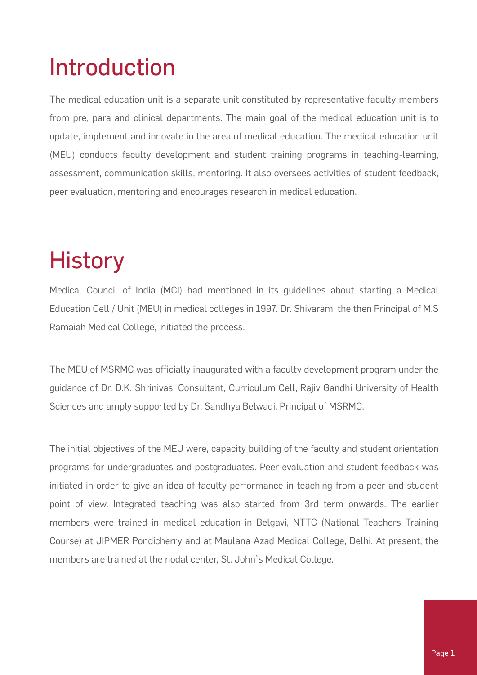# Introduction

The medical education unit is a separate unit constituted by representative faculty members from pre, para and clinical departments. The main goal of the medical education unit is to update, implement and innovate in the area of medical education. The medical education unit (MEU) conducts faculty development and student training programs in teaching-learning, assessment, communication skills, mentoring. It also oversees activities of student feedback, peer evaluation, mentoring and encourages research in medical education.

# **History**

Medical Council of India (MCI) had mentioned in its guidelines about starting a Medical Education Cell / Unit (MEU) in medical colleges in 1997. Dr. Shivaram, the then Principal of M.S Ramaiah Medical College, initiated the process.

The MEU of MSRMC was officially inaugurated with a faculty development program under the guidance of Dr. D.K. Shrinivas, Consultant, Curriculum Cell, Rajiv Gandhi University of Health Sciences and amply supported by Dr. Sandhya Belwadi, Principal of MSRMC.

The initial objectives of the MEU were, capacity building of the faculty and student orientation programs for undergraduates and postgraduates. Peer evaluation and student feedback was initiated in order to give an idea of faculty performance in teaching from a peer and student point of view. Integrated teaching was also started from 3rd term onwards. The earlier members were trained in medical education in Belgavi, NTTC (National Teachers Training Course) at JIPMER Pondicherry and at Maulana Azad Medical College, Delhi. At present, the members are trained at the nodal center, St. John`s Medical College.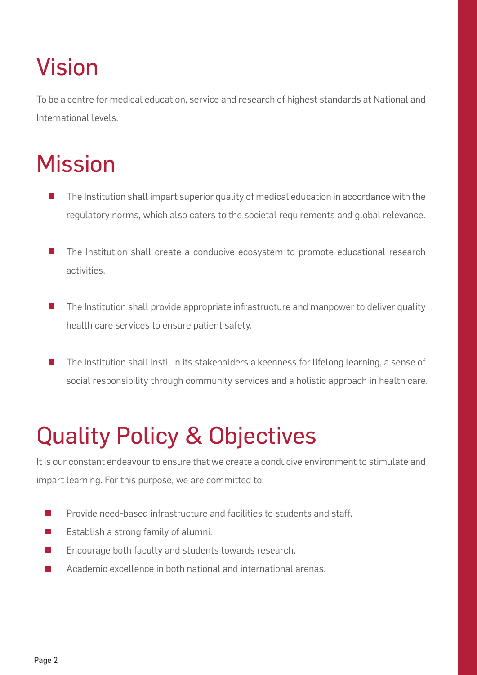# Vision

To be a centre for medical education, service and research of highest standards at National and International levels.

# **Mission**

- The Institution shall impart superior quality of medical education in accordance with the regulatory norms, which also caters to the societal requirements and global relevance.
- $\mathbb{R}^n$ The Institution shall create a conducive ecosystem to promote educational research activities.
- P. The Institution shall provide appropriate infrastructure and manpower to deliver quality health care services to ensure patient safety.
- The Institution shall instil in its stakeholders a keenness for lifelong learning, a sense of social responsibility through community services and a holistic approach in health care.

# Quality Policy & Objectives

It is our constant endeavour to ensure that we create a conducive environment to stimulate and impart learning. For this purpose, we are committed to:

- $\mathcal{L}_{\mathcal{A}}$ Provide need-based infrastructure and facilities to students and staff.
- $\mathbb{R}^n$ Establish a strong family of alumni.
- Encourage both faculty and students towards research.  $\sim$
- Academic excellence in both national and international arenas.  $\sim$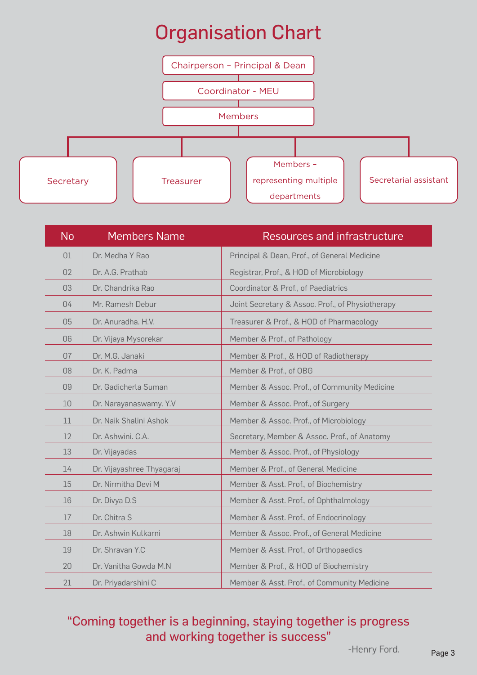### Organisation Chart



| <b>No</b> | <b>Members Name</b>       | Resources and infrastructure                     |
|-----------|---------------------------|--------------------------------------------------|
| 01        | Dr. Medha Y Rao           | Principal & Dean, Prof., of General Medicine     |
| 02        | Dr. A.G. Prathab          | Registrar, Prof., & HOD of Microbiology          |
| 03        | Dr. Chandrika Rao         | Coordinator & Prof., of Paediatrics              |
| 04        | Mr. Ramesh Debur          | Joint Secretary & Assoc. Prof., of Physiotherapy |
| 05        | Dr. Anuradha, H.V.        | Treasurer & Prof., & HOD of Pharmacology         |
| 06        | Dr. Vijaya Mysorekar      | Member & Prof., of Pathology                     |
| 07        | Dr. M.G. Janaki           | Member & Prof., & HOD of Radiotherapy            |
| 08        | Dr. K. Padma              | Member & Prof., of OBG                           |
| 09        | Dr. Gadicherla Suman      | Member & Assoc. Prof., of Community Medicine     |
| 10        | Dr. Narayanaswamy. Y.V    | Member & Assoc. Prof., of Surgery                |
| 11        | Dr. Naik Shalini Ashok    | Member & Assoc. Prof., of Microbiology           |
| 12        | Dr. Ashwini. C.A.         | Secretary, Member & Assoc. Prof., of Anatomy     |
| 13        | Dr. Vijayadas             | Member & Assoc. Prof., of Physiology             |
| 14        | Dr. Vijayashree Thyagaraj | Member & Prof., of General Medicine              |
| 15        | Dr. Nirmitha Devi M       | Member & Asst. Prof., of Biochemistry            |
| 16        | Dr. Divya D.S             | Member & Asst. Prof., of Ophthalmology           |
| 17        | Dr. Chitra S              | Member & Asst. Prof., of Endocrinology           |
| 18        | Dr. Ashwin Kulkarni       | Member & Assoc. Prof., of General Medicine       |
| 19        | Dr. Shravan Y.C           | Member & Asst. Prof., of Orthopaedics            |
| 20        | Dr. Vanitha Gowda M.N.    | Member & Prof., & HOD of Biochemistry            |
| 21        | Dr. Priyadarshini C       | Member & Asst. Prof., of Community Medicine      |

### "Coming together is a beginning, staying together is progress and working together is success"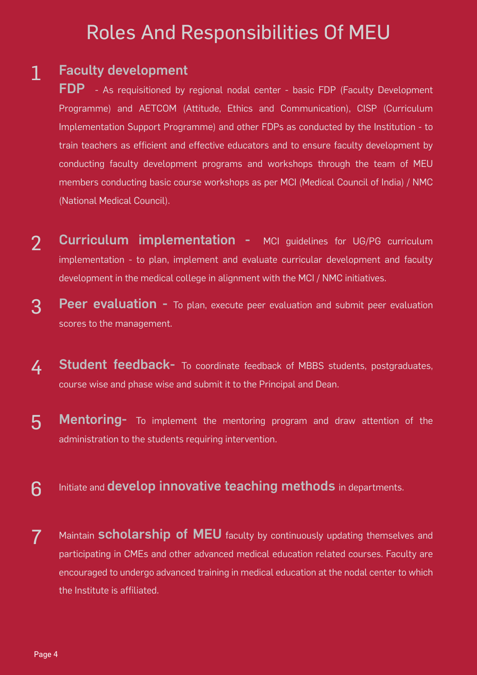### Roles And Responsibilities Of MEU

#### 1 Faculty development

FDP - As requisitioned by regional nodal center - basic FDP (Faculty Development Programme) and AETCOM (Attitude, Ethics and Communication), CISP (Curriculum Implementation Support Programme) and other FDPs as conducted by the Institution - to train teachers as efficient and effective educators and to ensure faculty development by conducting faculty development programs and workshops through the team of MEU members conducting basic course workshops as per MCI (Medical Council of India) / NMC (National Medical Council).

- 2 Curriculum implementation - MCI guidelines for UG/PG curriculum implementation - to plan, implement and evaluate curricular development and faculty development in the medical college in alignment with the MCI / NMC initiatives.
- 3 **Peer evaluation -** To plan, execute peer evaluation and submit peer evaluation scores to the management.
- 4 **Student feedback-** To coordinate feedback of MBBS students, postgraduates, course wise and phase wise and submit it to the Principal and Dean.
- 5 Mentoring- To implement the mentoring program and draw attention of the administration to the students requiring intervention.
- 6 Initiate and **develop innovative teaching methods** in departments.
- 7 Maintain **scholarship of MEU** faculty by continuously updating themselves and participating in CMEs and other advanced medical education related courses. Faculty are encouraged to undergo advanced training in medical education at the nodal center to which the Institute is affiliated.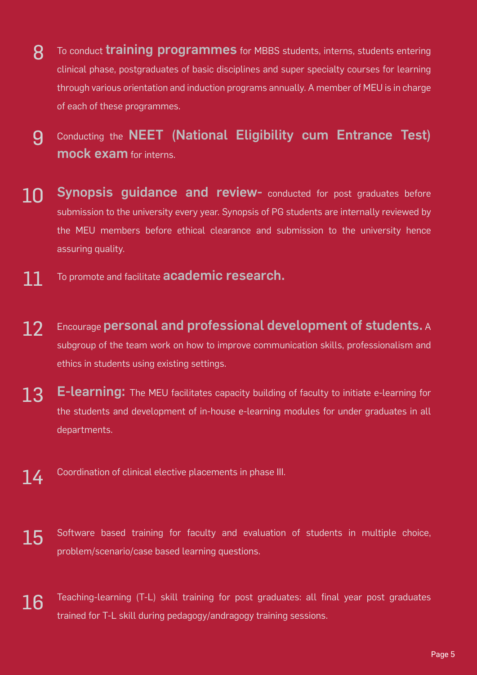- 8 To conduct **training programmes** for MBBS students, interns, students entering clinical phase, postgraduates of basic disciplines and super specialty courses for learning through various orientation and induction programs annually. A member of MEU is in charge of each of these programmes.
- 9 Conducting the NEET (National Eligibility cum Entrance Test) mock exam for interns.
- 10 Synopsis guidance and review- conducted for post graduates before submission to the university every year. Synopsis of PG students are internally reviewed by the MEU members before ethical clearance and submission to the university hence assuring quality.
- 11 To promote and facilitate academic research.
- 12 Encourage personal and professional development of students. A subgroup of the team work on how to improve communication skills, professionalism and ethics in students using existing settings.
- 13 E-learning: The MEU facilitates capacity building of faculty to initiate e-learning for the students and development of in-house e-learning modules for under graduates in all departments.
- $14$  Coordination of clinical elective placements in phase III.
- 15 Software based training for faculty and evaluation of students in multiple choice, problem/scenario/case based learning questions.
- 16 Teaching-learning (T-L) skill training for post graduates: all final year post graduates trained for T-L skill during pedagogy/andragogy training sessions.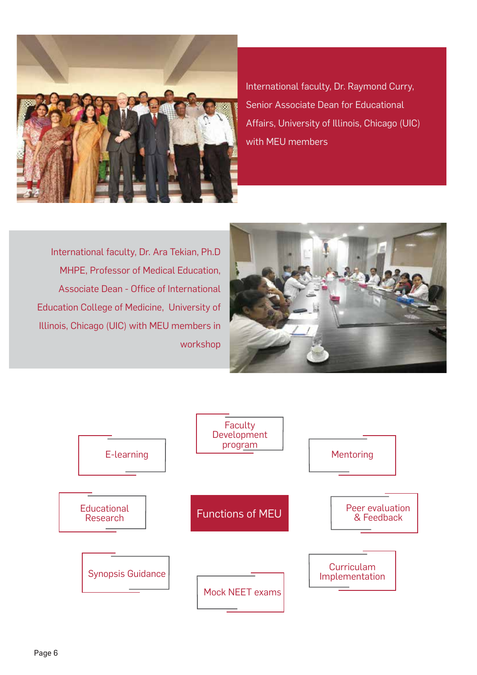

International faculty, Dr. Raymond Curry, Senior Associate Dean for Educational Affairs, University of Illinois, Chicago (UIC) with MEU members

International faculty, Dr. Ara Tekian, Ph.D MHPE, Professor of Medical Education, Associate Dean - Office of International Education College of Medicine, University of Illinois, Chicago (UIC) with MEU members in workshop



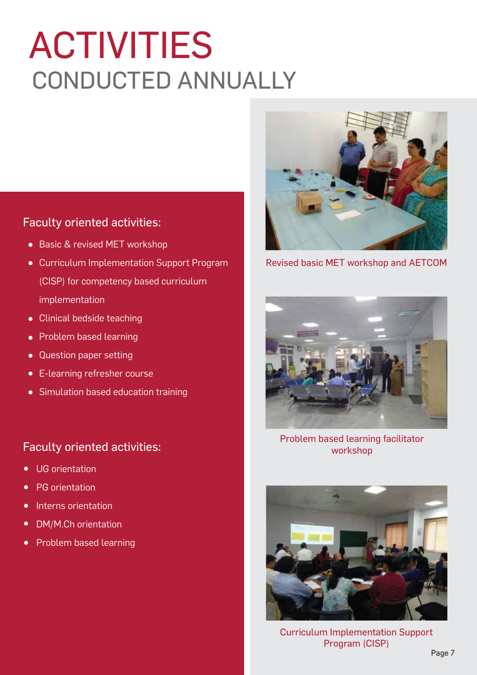# ACTIVITIES CONDUCTED ANNUALLY

#### Faculty oriented activities:

- Basic & revised MET workshop
- Curriculum Implementation Support Program (CISP) for competency based curriculum implementation
- Clinical bedside teaching  $\bullet$
- Problem based learning  $\bullet$
- Question paper setting  $\bullet$
- E-learning refresher course  $\bullet$
- Simulation based education training

#### Faculty oriented activities:

- UG orientation  $\bullet$
- PG orientation  $\bullet$
- Interns orientation  $\bullet$
- DM/M.Ch orientation  $\bullet$
- Problem based learning



Revised basic MET workshop and AETCOM



Problem based learning facilitator workshop



Curriculum Implementation Support Program (CISP)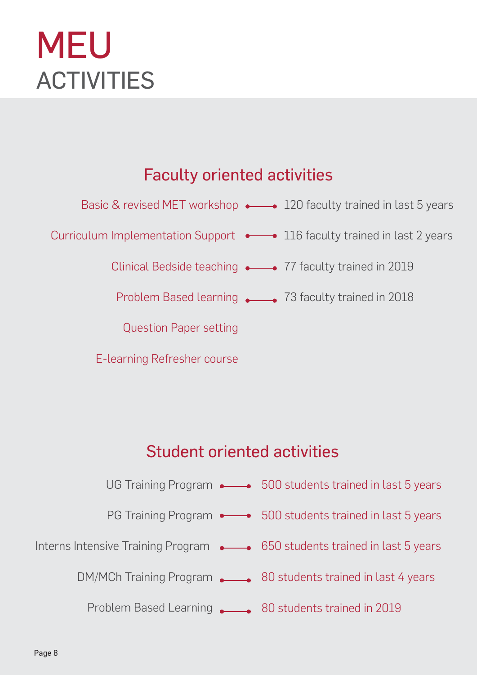# MEU **ACTIVITIES**

### Faculty oriented activities



E-learning Refresher course

### Student oriented activities



Problem Based Learning 80 students trained in 2019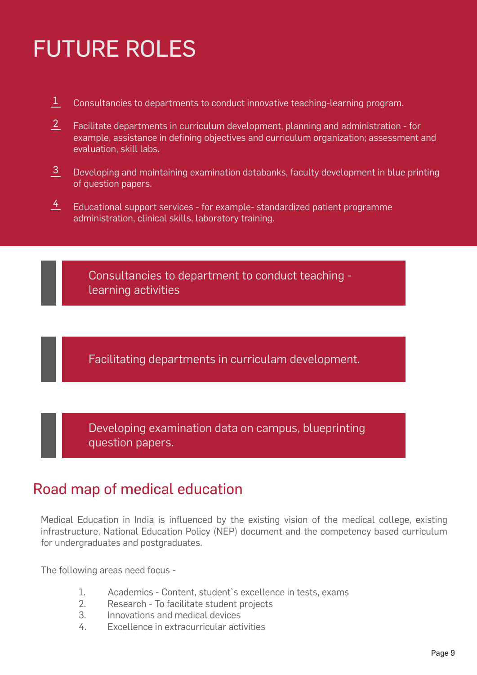# FUTURE ROLES

- Consultancies to departments to conduct innovative teaching-learning program. 1
- Facilitate departments in curriculum development, planning and administration for example, assistance in defining objectives and curriculum organization; assessment and evaluation, skill labs.  $\overline{2}$
- Developing and maintaining examination databanks, faculty development in blue printing of question papers. 3
- Educational support services for example- standardized patient programme administration, clinical skills, laboratory training.  $\frac{4}{1}$

Consultancies to department to conduct teaching learning activities

Facilitating departments in curriculam development.

Developing examination data on campus, blueprinting question papers.

### Road map of medical education

Medical Education in India is influenced by the existing vision of the medical college, existing infrastructure, National Education Policy (NEP) document and the competency based curriculum for undergraduates and postgraduates.

The following areas need focus -

- 1. Academics Content, student`s excellence in tests, exams
- 2. Research To facilitate student projects
- 3. Innovations and medical devices
- 4. Excellence in extracurricular activities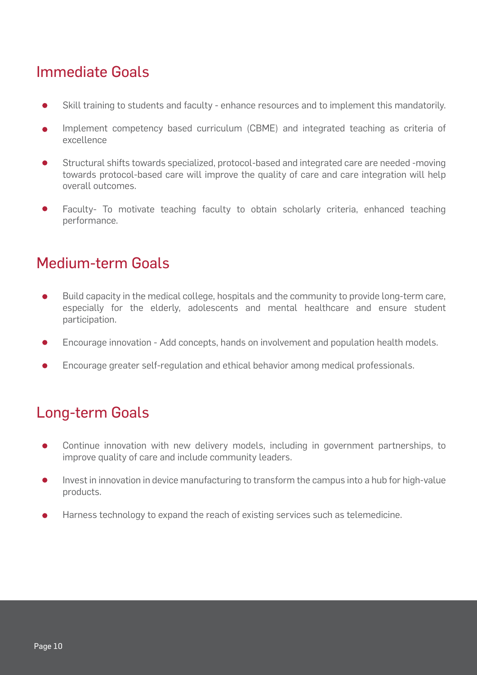### Immediate Goals

- Skill training to students and faculty enhance resources and to implement this mandatorily.
- Implement competency based curriculum (CBME) and integrated teaching as criteria of excellence
- Structural shifts towards specialized, protocol-based and integrated care are needed -moving towards protocol-based care will improve the quality of care and care integration will help overall outcomes.
- Faculty- To motivate teaching faculty to obtain scholarly criteria, enhanced teaching performance.

### Medium-term Goals

- Build capacity in the medical college, hospitals and the community to provide long-term care, especially for the elderly, adolescents and mental healthcare and ensure student participation.
- Encourage innovation Add concepts, hands on involvement and population health models.
- Encourage greater self-regulation and ethical behavior among medical professionals.

### Long-term Goals

- Continue innovation with new delivery models, including in government partnerships, to improve quality of care and include community leaders.
- Invest in innovation in device manufacturing to transform the campus into a hub for high-value products.
- Harness technology to expand the reach of existing services such as telemedicine.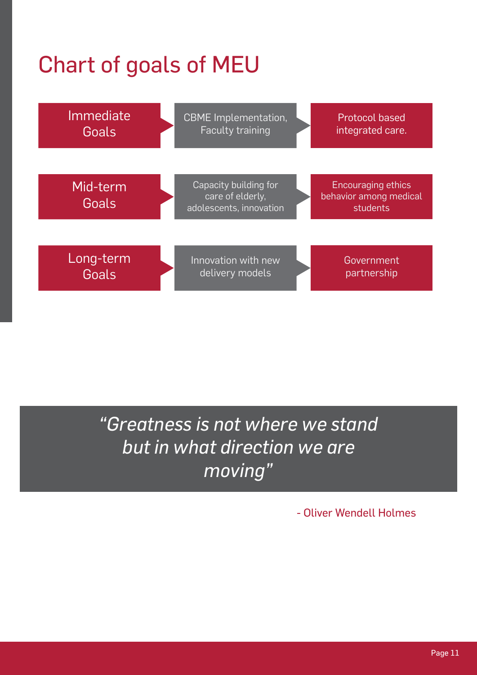# Chart of goals of MEU



*"Greatness is not where we stand but in what direction we are moving"*

- Oliver Wendell Holmes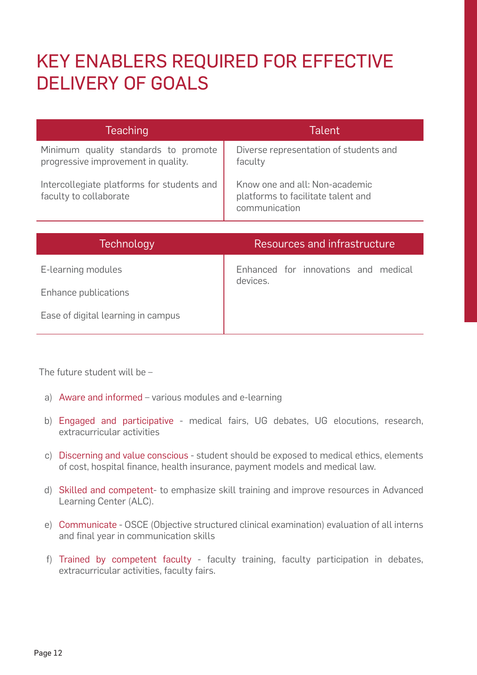### KEY ENABLERS REQUIRED FOR EFFECTIVE DELIVERY OF GOALS

| <b>Teaching</b>                                                             | <b>Talent</b>                                                                         |
|-----------------------------------------------------------------------------|---------------------------------------------------------------------------------------|
| Minimum quality standards to promote<br>progressive improvement in quality. | Diverse representation of students and<br>faculty                                     |
| Intercollegiate platforms for students and<br>faculty to collaborate        | Know one and all: Non-academic<br>platforms to facilitate talent and<br>communication |

| <b>Technology</b>                  | Resources and infrastructure                     |
|------------------------------------|--------------------------------------------------|
| E-learning modules                 | Enhanced for innovations and medical<br>devices. |
| Enhance publications               |                                                  |
| Ease of digital learning in campus |                                                  |

The future student will be –

- a) Aware and informed various modules and e-learning
- b) Engaged and participative medical fairs, UG debates, UG elocutions, research, extracurricular activities
- c) Discerning and value conscious student should be exposed to medical ethics, elements of cost, hospital finance, health insurance, payment models and medical law.
- d) Skilled and competent- to emphasize skill training and improve resources in Advanced Learning Center (ALC).
- e) Communicate OSCE (Objective structured clinical examination) evaluation of all interns and final year in communication skills
- f) Trained by competent faculty faculty training, faculty participation in debates, extracurricular activities, faculty fairs.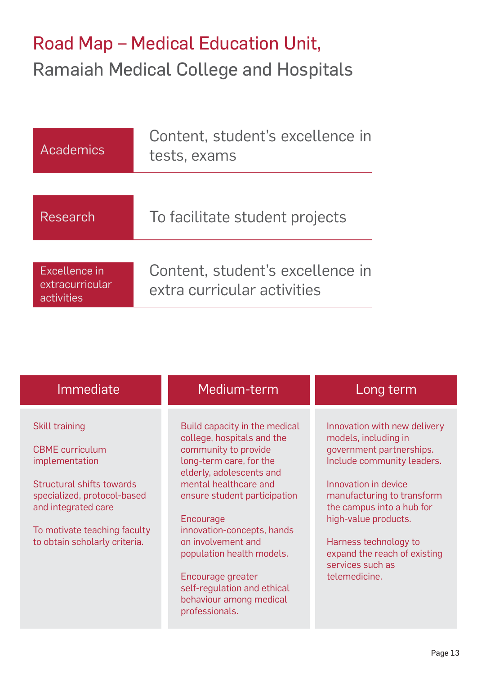### Road Map – Medical Education Unit, Ramaiah Medical College and Hospitals

| Academics                                      | Content, student's excellence in<br>tests, exams                |  |
|------------------------------------------------|-----------------------------------------------------------------|--|
|                                                |                                                                 |  |
| Research                                       | To facilitate student projects                                  |  |
| Excellence in<br>extracurricular<br>activities | Content, student's excellence in<br>extra curricular activities |  |

| Immediate                                                                                                                                                   | Medium-term                                                                                                                                                                                                      | Long term                                                                                                                                                                                                                 |
|-------------------------------------------------------------------------------------------------------------------------------------------------------------|------------------------------------------------------------------------------------------------------------------------------------------------------------------------------------------------------------------|---------------------------------------------------------------------------------------------------------------------------------------------------------------------------------------------------------------------------|
| <b>Skill training</b><br><b>CBME</b> curriculum<br>implementation<br><b>Structural shifts towards</b><br>specialized, protocol-based<br>and integrated care | Build capacity in the medical<br>college, hospitals and the<br>community to provide<br>long-term care, for the<br>elderly, adolescents and<br>mental healthcare and<br>ensure student participation<br>Encourage | Innovation with new delivery<br>models, including in<br>government partnerships.<br>Include community leaders.<br>Innovation in device<br>manufacturing to transform<br>the campus into a hub for<br>high-value products. |
| To motivate teaching faculty<br>to obtain scholarly criteria.                                                                                               | innovation-concepts, hands<br>on involvement and<br>population health models.<br>Encourage greater<br>self-regulation and ethical<br>behaviour among medical<br>professionals.                                   | Harness technology to<br>expand the reach of existing<br>services such as<br>telemedicine.                                                                                                                                |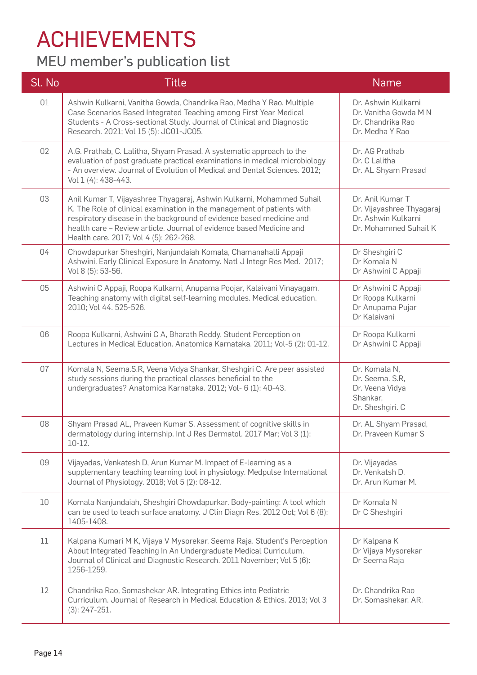## ACHIEVEMENTS

### MEU member's publication list

| Sl. No | <b>Title</b>                                                                                                                                                                                                                                                                                                                              | <b>Name</b>                                                                                   |
|--------|-------------------------------------------------------------------------------------------------------------------------------------------------------------------------------------------------------------------------------------------------------------------------------------------------------------------------------------------|-----------------------------------------------------------------------------------------------|
| 01     | Ashwin Kulkarni, Vanitha Gowda, Chandrika Rao, Medha Y Rao. Multiple<br>Case Scenarios Based Integrated Teaching among First Year Medical<br>Students - A Cross-sectional Study. Journal of Clinical and Diagnostic<br>Research. 2021; Vol 15 (5): JC01-JC05.                                                                             | Dr. Ashwin Kulkarni<br>Dr. Vanitha Gowda M N<br>Dr. Chandrika Rao<br>Dr. Medha Y Rao          |
| 02     | A.G. Prathab, C. Lalitha, Shyam Prasad. A systematic approach to the<br>evaluation of post graduate practical examinations in medical microbiology<br>- An overview. Journal of Evolution of Medical and Dental Sciences. 2012;<br>Vol 1 (4): 438-443.                                                                                    | Dr. AG Prathab<br>Dr. C Lalitha<br>Dr. AL Shyam Prasad                                        |
| 03     | Anil Kumar T, Vijayashree Thyagaraj, Ashwin Kulkarni, Mohammed Suhail<br>K. The Role of clinical examination in the management of patients with<br>respiratory disease in the background of evidence based medicine and<br>health care - Review article. Journal of evidence based Medicine and<br>Health care. 2017; Vol 4 (5): 262-268. | Dr. Anil Kumar T<br>Dr. Vijayashree Thyagaraj<br>Dr. Ashwin Kulkarni<br>Dr. Mohammed Suhail K |
| 04     | Chowdapurkar Sheshgiri, Nanjundaiah Komala, Chamanahalli Appaji<br>Ashwini. Early Clinical Exposure In Anatomy. Natl J Integr Res Med. 2017;<br>Vol 8 (5): 53-56.                                                                                                                                                                         | Dr Sheshgiri C<br>Dr Komala N<br>Dr Ashwini C Appaji                                          |
| 05     | Ashwini C Appaji, Roopa Kulkarni, Anupama Poojar, Kalaivani Vinayagam.<br>Teaching anatomy with digital self-learning modules. Medical education.<br>2010; Vol 44. 525-526.                                                                                                                                                               | Dr Ashwini C Appaji<br>Dr Roopa Kulkarni<br>Dr Anupama Pujar<br>Dr Kalaivani                  |
| 06     | Roopa Kulkarni, Ashwini C A, Bharath Reddy. Student Perception on<br>Lectures in Medical Education. Anatomica Karnataka. 2011; Vol-5 (2): 01-12.                                                                                                                                                                                          | Dr Roopa Kulkarni<br>Dr Ashwini C Appaji                                                      |
| 07     | Komala N, Seema.S.R, Veena Vidya Shankar, Sheshgiri C. Are peer assisted<br>study sessions during the practical classes beneficial to the<br>undergraduates? Anatomica Karnataka. 2012; Vol- 6 (1): 40-43.                                                                                                                                | Dr. Komala N,<br>Dr. Seema. S.R,<br>Dr. Veena Vidya<br>Shankar,<br>Dr. Sheshgiri. C           |
| 08     | Shyam Prasad AL, Praveen Kumar S. Assessment of cognitive skills in<br>dermatology during internship. Int J Res Dermatol. 2017 Mar; Vol 3 (1):<br>$10-12.$                                                                                                                                                                                | Dr. AL Shyam Prasad,<br>Dr. Praveen Kumar S                                                   |
| 09     | Vijayadas, Venkatesh D, Arun Kumar M. Impact of E-learning as a<br>supplementary teaching learning tool in physiology. Medpulse International<br>Journal of Physiology. 2018; Vol 5 (2): 08-12.                                                                                                                                           | Dr. Vijayadas<br>Dr. Venkatsh D,<br>Dr. Arun Kumar M.                                         |
| 10     | Komala Nanjundaiah, Sheshgiri Chowdapurkar. Body-painting: A tool which<br>can be used to teach surface anatomy. J Clin Diagn Res. 2012 Oct; Vol 6 (8):<br>1405-1408.                                                                                                                                                                     | Dr Komala N<br>Dr C Sheshgiri                                                                 |
| 11     | Kalpana Kumari M K, Vijaya V Mysorekar, Seema Raja. Student's Perception<br>About Integrated Teaching In An Undergraduate Medical Curriculum.<br>Journal of Clinical and Diagnostic Research. 2011 November; Vol 5 (6):<br>1256-1259.                                                                                                     | Dr Kalpana K<br>Dr Vijaya Mysorekar<br>Dr Seema Raja                                          |
| 12     | Chandrika Rao, Somashekar AR. Integrating Ethics into Pediatric<br>Curriculum. Journal of Research in Medical Education & Ethics. 2013; Vol 3<br>$(3): 247 - 251.$                                                                                                                                                                        | Dr. Chandrika Rao<br>Dr. Somashekar, AR.                                                      |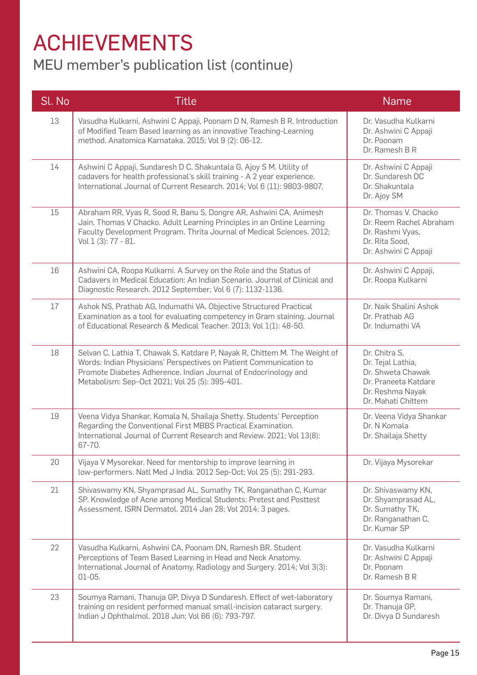## ACHIEVEMENTS

### MEU member's publication list (continue)

| Sl. No | <b>Title</b>                                                                                                                                                                                                                                                          | <b>Name</b>                                                                                                               |
|--------|-----------------------------------------------------------------------------------------------------------------------------------------------------------------------------------------------------------------------------------------------------------------------|---------------------------------------------------------------------------------------------------------------------------|
| 13     | Vasudha Kulkarni, Ashwini C Appaji, Poonam D N, Ramesh B R. Introduction<br>of Modified Team Based learning as an innovative Teaching-Learning<br>method. Anatomica Karnataka. 2015; Vol 9 (2): 06-12.                                                                | Dr. Vasudha Kulkarni<br>Dr. Ashwini C Appaji<br>Dr. Poonam<br>Dr. Ramesh B R                                              |
| 14     | Ashwini C Appaji, Sundaresh D C, Shakuntala G, Ajoy S M. Utility of<br>cadavers for health professional's skill training - A 2 year experience.<br>International Journal of Current Research. 2014; Vol 6 (11): 9803-9807.                                            | Dr. Ashwini C Appaji<br>Dr. Sundaresh DC<br>Dr. Shakuntala<br>Dr. Ajoy SM                                                 |
| 15     | Abraham RR, Vyas R, Sood R, Banu S, Dongre AR, Ashwini CA, Animesh<br>Jain, Thomas V Chacko. Adult Learning Principles in an Online Learning<br>Faculty Development Program. Thrita Journal of Medical Sciences. 2012;<br>Vol 1 (3): 77 - 81.                         | Dr. Thomas V. Chacko<br>Dr. Reem Rachel Abraham<br>Dr. Rashmi Vyas,<br>Dr. Rita Sood,<br>Dr. Ashwini C Appaji             |
| 16     | Ashwini CA, Roopa Kulkarni. A Survey on the Role and the Status of<br>Cadavers in Medical Education: An Indian Scenario. Journal of Clinical and<br>Diagnostic Research. 2012 September; Vol 6 (7): 1132-1136.                                                        | Dr. Ashwini C Appaji,<br>Dr. Roopa Kulkarni                                                                               |
| 17     | Ashok NS, Prathab AG, Indumathi VA. Objective Structured Practical<br>Examination as a tool for evaluating competency in Gram staining. Journal<br>of Educational Research & Medical Teacher. 2013; Vol 1(1): 48-50.                                                  | Dr. Naik Shalini Ashok<br>Dr. Prathab AG<br>Dr. Indumathi VA                                                              |
| 18     | Selvan C, Lathia T, Chawak S, Katdare P, Nayak R, Chittem M. The Weight of<br>Words: Indian Physicians' Perspectives on Patient Communication to<br>Promote Diabetes Adherence. Indian Journal of Endocrinology and<br>Metabolism: Sep-Oct 2021; Vol 25 (5): 395-401. | Dr. Chitra S,<br>Dr. Tejal Lathia,<br>Dr. Shweta Chawak<br>Dr. Praneeta Katdare<br>Dr. Reshma Nayak<br>Dr. Mahati Chittem |
| 19     | Veena Vidya Shankar, Komala N, Shailaja Shetty. Students' Perception<br>Regarding the Conventional First MBBS Practical Examination.<br>International Journal of Current Research and Review. 2021; Vol 13(8):<br>67-70.                                              | Dr. Veena Vidya Shankar<br>Dr. N Komala<br>Dr. Shailaja Shetty                                                            |
| 20     | Vijaya V Mysorekar. Need for mentorship to improve learning in<br>low-performers. Natl Med J India. 2012 Sep-Oct; Vol 25 (5): 291-293.                                                                                                                                | Dr. Vijaya Mysorekar                                                                                                      |
| 21     | Shivaswamy KN, Shyamprasad AL, Sumathy TK, Ranganathan C, Kumar<br>SP. Knowledge of Acne among Medical Students: Pretest and Posttest<br>Assessment. ISRN Dermatol. 2014 Jan 28; Vol 2014: 3 pages.                                                                   | Dr. Shivaswamy KN,<br>Dr. Shyamprasad AL,<br>Dr. Sumathy TK,<br>Dr. Ranganathan C,<br>Dr. Kumar SP                        |
| 22     | Vasudha Kulkarni, Ashwini CA, Poonam DN, Ramesh BR. Student<br>Perceptions of Team Based Learning in Head and Neck Anatomy.<br>International Journal of Anatomy, Radiology and Surgery. 2014; Vol 3(3):<br>$01-05.$                                                   | Dr. Vasudha Kulkarni<br>Dr. Ashwini C Appaji<br>Dr. Poonam<br>Dr. Ramesh B R                                              |
| 23     | Soumya Ramani, Thanuja GP, Divya D Sundaresh. Effect of wet-laboratory<br>training on resident performed manual small-incision cataract surgery.<br>Indian J Ophthalmol. 2018 Jun; Vol 66 (6): 793-797.                                                               | Dr. Soumya Ramani,<br>Dr. Thanuja GP,<br>Dr. Divya D Sundaresh                                                            |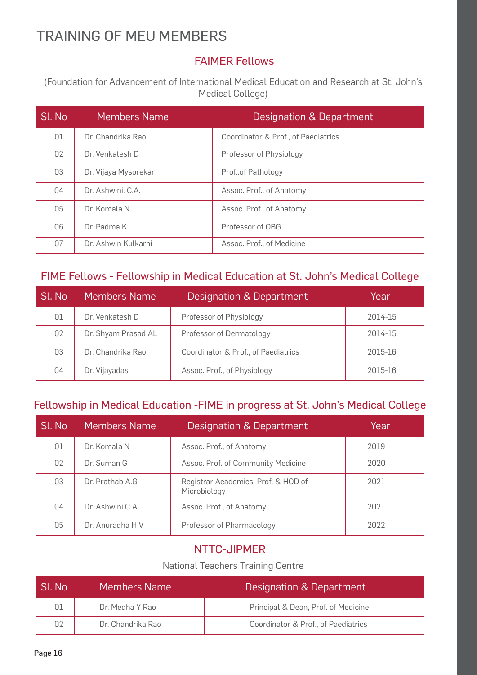### TRAINING OF MEU MEMBERS

### FAIMER Fellows

(Foundation for Advancement of International Medical Education and Research at St. John's Medical College)

| Sl. No | <b>Members Name</b>  | Designation & Department            |
|--------|----------------------|-------------------------------------|
| 01     | Dr. Chandrika Rao    | Coordinator & Prof., of Paediatrics |
| 02     | Dr. Venkatesh D      | Professor of Physiology             |
| 03     | Dr. Vijaya Mysorekar | Prof., of Pathology                 |
| 04     | Dr. Ashwini, C.A.    | Assoc. Prof., of Anatomy            |
| 05     | Dr. Komala N         | Assoc. Prof., of Anatomy            |
| 06     | Dr. Padma K          | Professor of OBG                    |
| 07     | Dr. Ashwin Kulkarni  | Assoc. Prof., of Medicine           |

#### FIME Fellows - Fellowship in Medical Education at St. John's Medical College

| Sl. No | Members Name        | Designation & Department            | Year    |
|--------|---------------------|-------------------------------------|---------|
| 01     | Dr. Venkatesh D     | Professor of Physiology             | 2014-15 |
| 02     | Dr. Shyam Prasad AL | Professor of Dermatology            | 2014-15 |
| 03     | Dr. Chandrika Rao   | Coordinator & Prof., of Paediatrics | 2015-16 |
| 04     | Dr. Vijayadas       | Assoc. Prof., of Physiology         | 2015-16 |

#### Fellowship in Medical Education -FIME in progress at St. John's Medical College

| Sl. No | <b>Members Name</b> | Designation & Department                            | Year |
|--------|---------------------|-----------------------------------------------------|------|
| 01     | Dr. Komala N        | Assoc. Prof., of Anatomy                            | 2019 |
| 02     | Dr. Suman G         | Assoc. Prof. of Community Medicine                  | 2020 |
| 03     | Dr. Prathab A.G     | Registrar Academics, Prof. & HOD of<br>Microbiology | 2021 |
| 04     | Dr. Ashwini C A     | Assoc. Prof., of Anatomy                            | 2021 |
| 05     | Dr. Anuradha H V    | Professor of Pharmacology                           | 2022 |

#### NTTC-JIPMER

#### National Teachers Training Centre

| Sl. No | Members Name      | Designation & Department            |
|--------|-------------------|-------------------------------------|
| 01     | Dr. Medha Y Rao   | Principal & Dean, Prof. of Medicine |
| 02     | Dr. Chandrika Rao | Coordinator & Prof., of Paediatrics |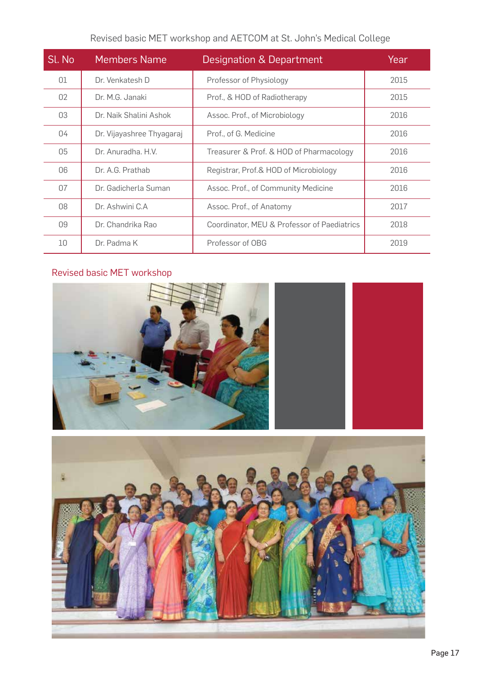| Revised basic MET workshop and AETCOM at St. John's Medical College |  |
|---------------------------------------------------------------------|--|
|---------------------------------------------------------------------|--|

| Sl. No         | <b>Members Name</b>       | Designation & Department                    | Year |
|----------------|---------------------------|---------------------------------------------|------|
| 01             | Dr. Venkatesh D           | Professor of Physiology                     | 2015 |
| 02             | Dr. M.G. Janaki           | Prof., & HOD of Radiotherapy                | 2015 |
| 03             | Dr. Naik Shalini Ashok    | Assoc. Prof., of Microbiology               | 2016 |
| 04             | Dr. Vijayashree Thyagaraj | Prof., of G. Medicine                       | 2016 |
| 05             | Dr. Anuradha, H.V.        | Treasurer & Prof. & HOD of Pharmacology     | 2016 |
| O <sub>6</sub> | Dr. A.G. Prathab          | Registrar, Prof.& HOD of Microbiology       | 2016 |
| 07             | Dr. Gadicherla Suman      | Assoc. Prof., of Community Medicine         | 2016 |
| 08             | Dr. Ashwini C.A           | Assoc. Prof., of Anatomy                    | 2017 |
| 09             | Dr. Chandrika Rao         | Coordinator, MEU & Professor of Paediatrics | 2018 |
| 10             | Dr. Padma K               | Professor of OBG                            | 2019 |

### Revised basic MET workshop



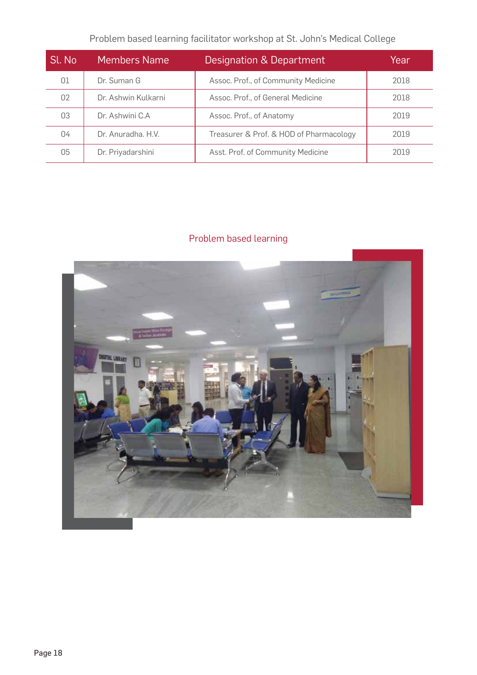### Problem based learning facilitator workshop at St. John's Medical College

| Sl. No | <b>Members Name</b> | Designation & Department                | Year |
|--------|---------------------|-----------------------------------------|------|
| 01     | Dr. Suman G         | Assoc. Prof., of Community Medicine     | 2018 |
| 02     | Dr. Ashwin Kulkarni | Assoc. Prof., of General Medicine       | 2018 |
| 03     | Dr. Ashwini C.A     | Assoc. Prof., of Anatomy                | 2019 |
| 04     | Dr. Anuradha, H.V.  | Treasurer & Prof. & HOD of Pharmacology | 2019 |
| 05     | Dr. Priyadarshini   | Asst. Prof. of Community Medicine       | 2019 |

### Problem based learning

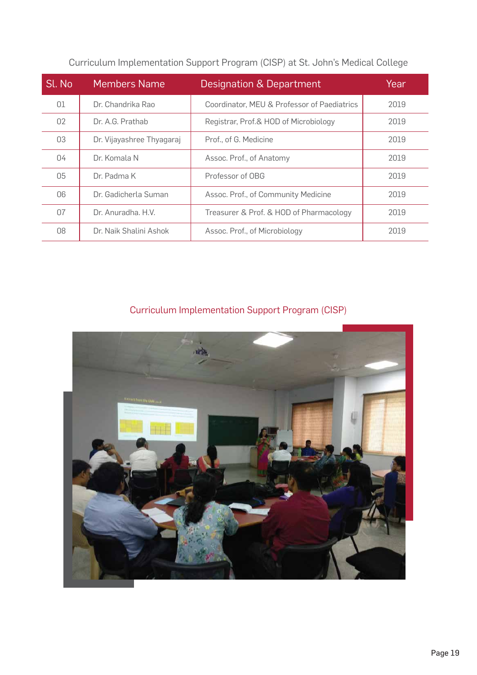| Sl. No | <b>Members Name</b>       | Designation & Department                    | Year |
|--------|---------------------------|---------------------------------------------|------|
| 01     | Dr. Chandrika Rao         | Coordinator, MEU & Professor of Paediatrics | 2019 |
| 02     | Dr. A.G. Prathab          | Registrar, Prof.& HOD of Microbiology       | 2019 |
| 03     | Dr. Vijayashree Thyagaraj | Prof., of G. Medicine                       | 2019 |
| 04     | Dr. Komala N              | Assoc. Prof., of Anatomy                    | 2019 |
| 05     | Dr. Padma K               | Professor of OBG                            | 2019 |
| 06     | Dr. Gadicherla Suman      | Assoc. Prof., of Community Medicine         | 2019 |
| 07     | Dr. Anuradha, H.V.        | Treasurer & Prof. & HOD of Pharmacology     | 2019 |
| 08     | Dr. Naik Shalini Ashok    | Assoc. Prof., of Microbiology               | 2019 |

Curriculum Implementation Support Program (CISP) at St. John's Medical College

### Curriculum Implementation Support Program (CISP)

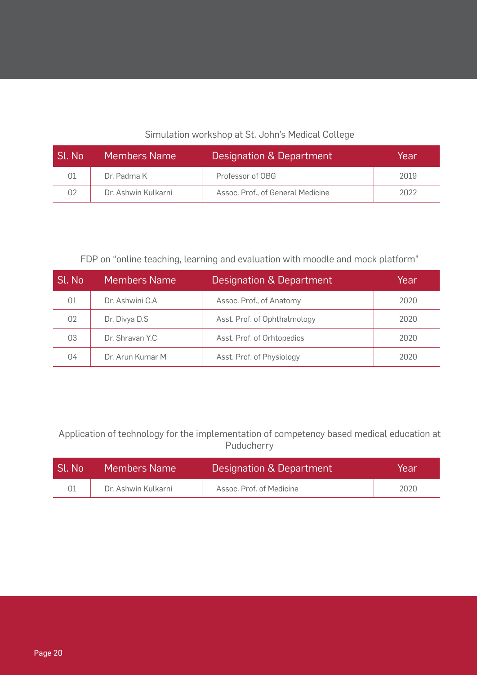#### Simulation workshop at St. John's Medical College

| Sl. No | <b>Members Name</b> | Designation & Department          | Year |
|--------|---------------------|-----------------------------------|------|
| 01     | Dr. Padma K         | Professor of OBG                  | 2019 |
| 02     | Dr. Ashwin Kulkarni | Assoc. Prof., of General Medicine | 2022 |

#### FDP on "online teaching, learning and evaluation with moodle and mock platform"

| Sl. No | Members Name     | Designation & Department     | Year |
|--------|------------------|------------------------------|------|
| 01     | Dr. Ashwini C.A  | Assoc. Prof., of Anatomy     | 2020 |
| 02     | Dr. Divya D.S    | Asst. Prof. of Ophthalmology | 2020 |
| 03     | Dr. Shravan Y.C. | Asst. Prof. of Orhtopedics   | 2020 |
| 04     | Dr. Arun Kumar M | Asst. Prof. of Physiology    | 2020 |

Application of technology for the implementation of competency based medical education at Puducherry

| Sl. No | <b>Members Name</b> | Designation & Department | Year |
|--------|---------------------|--------------------------|------|
|        | Dr. Ashwin Kulkarni | Assoc. Prof. of Medicine | 2020 |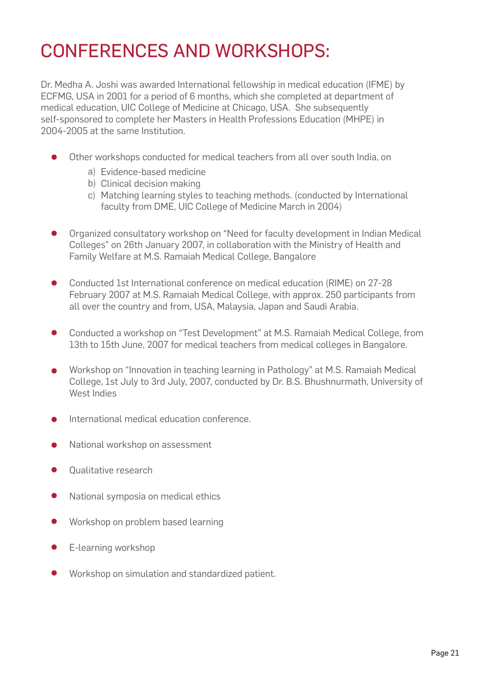### CONFERENCES AND WORKSHOPS:

Dr. Medha A. Joshi was awarded International fellowship in medical education (IFME) by ECFMG, USA in 2001 for a period of 6 months, which she completed at department of medical education, UIC College of Medicine at Chicago, USA. She subsequently self-sponsored to complete her Masters in Health Professions Education (MHPE) in 2004-2005 at the same Institution.

- Other workshops conducted for medical teachers from all over south India, on
	- a) Evidence-based medicine
	- b) Clinical decision making
	- c) Matching learning styles to teaching methods. (conducted by International faculty from DME, UIC College of Medicine March in 2004)
- Organized consultatory workshop on "Need for faculty development in Indian Medical  $\bullet$ Colleges" on 26th January 2007, in collaboration with the Ministry of Health and Family Welfare at M.S. Ramaiah Medical College, Bangalore
- $\bullet$ Conducted 1st International conference on medical education (RIME) on 27-28 February 2007 at M.S. Ramaiah Medical College, with approx. 250 participants from all over the country and from, USA, Malaysia, Japan and Saudi Arabia.
- $\bullet$ Conducted a workshop on "Test Development" at M.S. Ramaiah Medical College, from 13th to 15th June, 2007 for medical teachers from medical colleges in Bangalore.
- Workshop on "Innovation in teaching learning in Pathology" at M.S. Ramaiah Medical  $\bullet$ College, 1st July to 3rd July, 2007, conducted by Dr. B.S. Bhushnurmath, University of West Indies
- International medical education conference.
- National workshop on assessment
- Qualitative research
- $\bullet$ National symposia on medical ethics
- $\bullet$ Workshop on problem based learning
- $\bullet$ E-learning workshop
- Workshop on simulation and standardized patient.